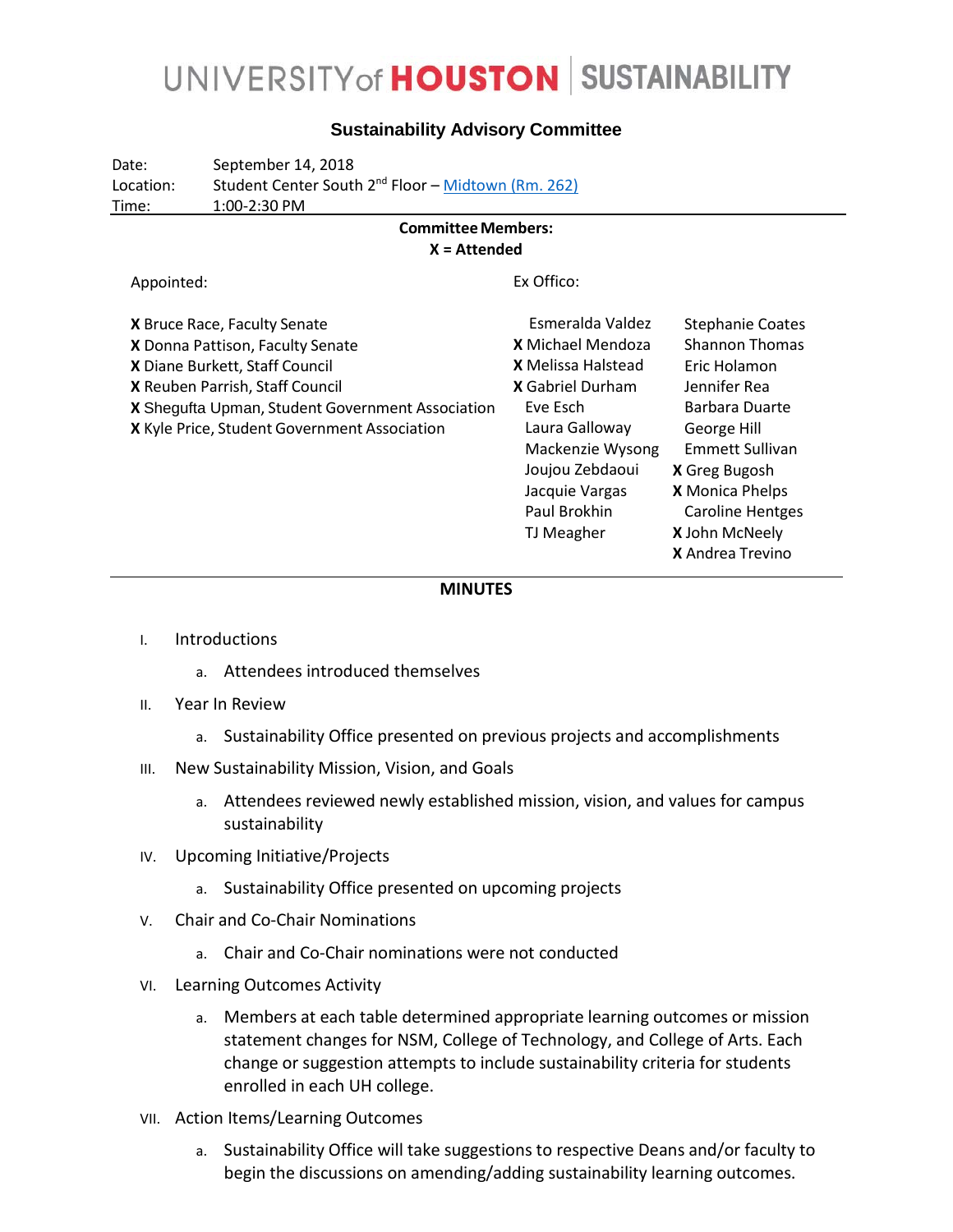## UNIVERSITY of **HOUSTON** SUSTAINABILITY

### **Sustainability Advisory Committee**

Date: September 14, 2018 Location: Student Center South 2<sup>nd</sup> Floor – Midtown [\(Rm. 262\)](http://www.uh.edu/studentcenters/_images/_wayfinding/scs-2.jpg) Time: 1:00-2:30 PM

#### **CommitteeMembers: X = Attended**

Appointed:

Ex Offico:

| X Bruce Race, Faculty Senate                     | Esmeralda Valdez         | <b>Stephanie Coates</b> |
|--------------------------------------------------|--------------------------|-------------------------|
| X Donna Pattison, Faculty Senate                 | <b>X</b> Michael Mendoza | <b>Shannon Thomas</b>   |
| X Diane Burkett, Staff Council                   | X Melissa Halstead       | Eric Holamon            |
| X Reuben Parrish, Staff Council                  | <b>X</b> Gabriel Durham  | Jennifer Rea            |
| X Shegufta Upman, Student Government Association | Eve Esch                 | Barbara Duarte          |
| X Kyle Price, Student Government Association     | Laura Galloway           | George Hill             |
|                                                  | Mackenzie Wysong         | <b>Emmett Sullivan</b>  |
|                                                  | Joujou Zebdaoui          | <b>X</b> Greg Bugosh    |
|                                                  | Jacquie Vargas           | <b>X</b> Monica Phelps  |
|                                                  | Paul Brokhin             | <b>Caroline Hentges</b> |
|                                                  | TJ Meagher               | X John McNeely          |
|                                                  |                          | <b>X</b> Andrea Trevino |

#### **MINUTES**

- I. Introductions
	- a. Attendees introduced themselves
- II. Year In Review
	- a. Sustainability Office presented on previous projects and accomplishments
- III. New Sustainability Mission, Vision, and Goals
	- a. Attendees reviewed newly established mission, vision, and values for campus sustainability
- IV. Upcoming Initiative/Projects
	- a. Sustainability Office presented on upcoming projects
- V. Chair and Co-Chair Nominations
	- a. Chair and Co-Chair nominations were not conducted
- VI. Learning Outcomes Activity
	- a. Members at each table determined appropriate learning outcomes or mission statement changes for NSM, College of Technology, and College of Arts. Each change or suggestion attempts to include sustainability criteria for students enrolled in each UH college.
- VII. Action Items/Learning Outcomes
	- a. Sustainability Office will take suggestions to respective Deans and/or faculty to begin the discussions on amending/adding sustainability learning outcomes.